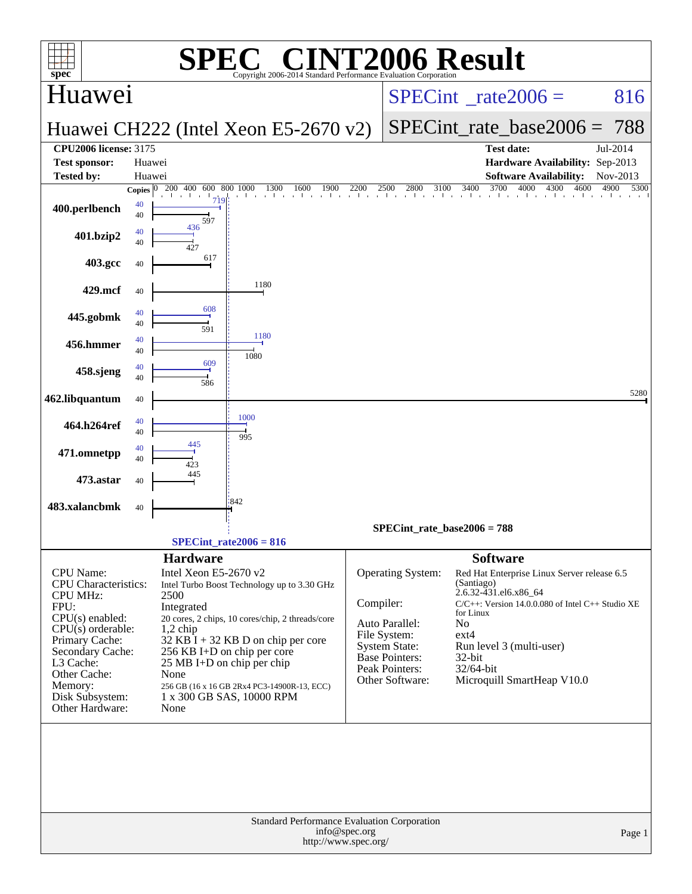| $spec^*$                                                                                                                                                                                                                     |                          | SPE                                                                                          | $\bigcap$<br>Copyright 2006-2014 Standard Performance Evaluation Corporation                                                                                                                                                                                                     |           |                                                                                                                                    | <b>INT2006 Result</b>                                                                                                                                                                                                                                                             |                      |
|------------------------------------------------------------------------------------------------------------------------------------------------------------------------------------------------------------------------------|--------------------------|----------------------------------------------------------------------------------------------|----------------------------------------------------------------------------------------------------------------------------------------------------------------------------------------------------------------------------------------------------------------------------------|-----------|------------------------------------------------------------------------------------------------------------------------------------|-----------------------------------------------------------------------------------------------------------------------------------------------------------------------------------------------------------------------------------------------------------------------------------|----------------------|
| Huawei                                                                                                                                                                                                                       |                          |                                                                                              |                                                                                                                                                                                                                                                                                  |           |                                                                                                                                    | $SPECint^{\circ}$ rate $2006 =$                                                                                                                                                                                                                                                   | 816                  |
|                                                                                                                                                                                                                              |                          |                                                                                              | Huawei CH222 (Intel Xeon E5-2670 v2)                                                                                                                                                                                                                                             |           |                                                                                                                                    | $SPECint_rate\_base2006 = 788$                                                                                                                                                                                                                                                    |                      |
| <b>CPU2006 license: 3175</b><br><b>Test sponsor:</b><br><b>Tested by:</b>                                                                                                                                                    | Huawei<br>Huawei         |                                                                                              |                                                                                                                                                                                                                                                                                  |           |                                                                                                                                    | <b>Test date:</b><br>Hardware Availability: Sep-2013<br><b>Software Availability:</b>                                                                                                                                                                                             | Jul-2014<br>Nov-2013 |
| 400.perlbench                                                                                                                                                                                                                | Copies $ 0 $<br>40<br>40 | 200 400 600 800 1000<br>$\mathbf{1}$<br>719<br>597                                           | 1300<br>1900<br>1600<br>the contractor of the contractor<br>and the con-                                                                                                                                                                                                         | 2200      | 2800<br>2500<br>3100                                                                                                               | $\overline{3700}$<br>4000<br>3400<br>4300<br>a basa basa basa basa basa basa basa b                                                                                                                                                                                               | 4900<br>5300<br>4600 |
| 401.bzip2                                                                                                                                                                                                                    | 40<br>40                 | 436                                                                                          |                                                                                                                                                                                                                                                                                  |           |                                                                                                                                    |                                                                                                                                                                                                                                                                                   |                      |
| 403.gcc                                                                                                                                                                                                                      | 40                       | 617                                                                                          |                                                                                                                                                                                                                                                                                  |           |                                                                                                                                    |                                                                                                                                                                                                                                                                                   |                      |
| 429.mcf                                                                                                                                                                                                                      | 40<br>40                 | 608                                                                                          | 1180                                                                                                                                                                                                                                                                             |           |                                                                                                                                    |                                                                                                                                                                                                                                                                                   |                      |
| 445.gobmk<br>456.hmmer                                                                                                                                                                                                       | 40<br>40<br>40           | 591                                                                                          | 1180                                                                                                                                                                                                                                                                             |           |                                                                                                                                    |                                                                                                                                                                                                                                                                                   |                      |
| 458.sjeng                                                                                                                                                                                                                    | 40<br>40                 | 609<br>586                                                                                   | 1080                                                                                                                                                                                                                                                                             |           |                                                                                                                                    |                                                                                                                                                                                                                                                                                   |                      |
| 462.libquantum                                                                                                                                                                                                               | 40                       |                                                                                              |                                                                                                                                                                                                                                                                                  |           |                                                                                                                                    |                                                                                                                                                                                                                                                                                   | 5280                 |
| 464.h264ref                                                                                                                                                                                                                  | 40<br>40                 | 445                                                                                          | 1000<br>995                                                                                                                                                                                                                                                                      |           |                                                                                                                                    |                                                                                                                                                                                                                                                                                   |                      |
| 471.omnetpp<br>473.astar                                                                                                                                                                                                     | 40<br>40                 | 423<br>445                                                                                   |                                                                                                                                                                                                                                                                                  |           |                                                                                                                                    |                                                                                                                                                                                                                                                                                   |                      |
| 483.xalancbmk                                                                                                                                                                                                                | 40<br>40                 |                                                                                              | 842                                                                                                                                                                                                                                                                              |           |                                                                                                                                    |                                                                                                                                                                                                                                                                                   |                      |
|                                                                                                                                                                                                                              |                          |                                                                                              | $SPECint_rate2006 = 816$                                                                                                                                                                                                                                                         |           | $SPECint_rate_base2006 = 788$                                                                                                      |                                                                                                                                                                                                                                                                                   |                      |
|                                                                                                                                                                                                                              |                          |                                                                                              |                                                                                                                                                                                                                                                                                  |           |                                                                                                                                    |                                                                                                                                                                                                                                                                                   |                      |
| CPU Name:<br>CPU Characteristics:<br><b>CPU MHz:</b><br>FPU:<br>$CPU(s)$ enabled:<br>$CPU(s)$ orderable:<br>Primary Cache:<br>Secondary Cache:<br>L3 Cache:<br>Other Cache:<br>Memory:<br>Disk Subsystem:<br>Other Hardware: |                          | <b>Hardware</b><br>Intel Xeon E5-2670 v2<br>2500<br>Integrated<br>$1,2$ chip<br>None<br>None | Intel Turbo Boost Technology up to 3.30 GHz<br>20 cores, 2 chips, 10 cores/chip, 2 threads/core<br>$32$ KB I + 32 KB D on chip per core<br>256 KB I+D on chip per core<br>25 MB I+D on chip per chip<br>256 GB (16 x 16 GB 2Rx4 PC3-14900R-13, ECC)<br>1 x 300 GB SAS, 10000 RPM | Compiler: | Operating System:<br>Auto Parallel:<br>File System:<br><b>System State:</b><br>Base Pointers:<br>Peak Pointers:<br>Other Software: | <b>Software</b><br>Red Hat Enterprise Linux Server release 6.5<br>(Santiago)<br>2.6.32-431.el6.x86_64<br>$C/C++$ : Version 14.0.0.080 of Intel $C++$ Studio XE<br>for Linux<br>No<br>$ext{4}$<br>Run level 3 (multi-user)<br>$32$ -bit<br>32/64-bit<br>Microquill SmartHeap V10.0 |                      |
| Standard Performance Evaluation Corporation<br>info@spec.org<br>Page 1<br>http://www.spec.org/                                                                                                                               |                          |                                                                                              |                                                                                                                                                                                                                                                                                  |           |                                                                                                                                    |                                                                                                                                                                                                                                                                                   |                      |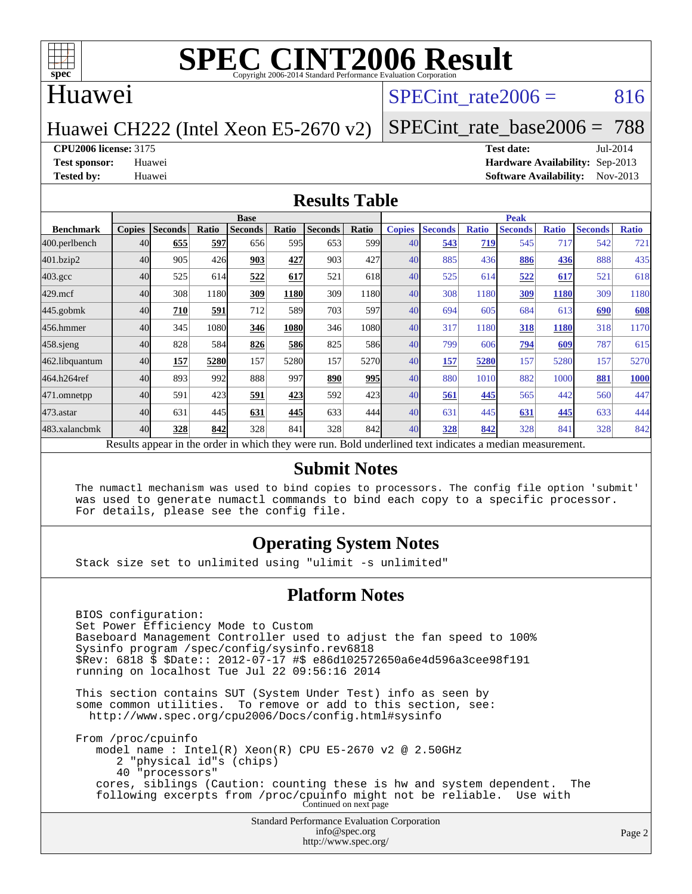

### Huawei

### SPECint rate $2006 = 816$

Huawei CH222 (Intel Xeon E5-2670 v2)

[SPECint\\_rate\\_base2006 =](http://www.spec.org/auto/cpu2006/Docs/result-fields.html#SPECintratebase2006) 788

**[CPU2006 license:](http://www.spec.org/auto/cpu2006/Docs/result-fields.html#CPU2006license)** 3175 **[Test date:](http://www.spec.org/auto/cpu2006/Docs/result-fields.html#Testdate)** Jul-2014

**[Test sponsor:](http://www.spec.org/auto/cpu2006/Docs/result-fields.html#Testsponsor)** Huawei **[Hardware Availability:](http://www.spec.org/auto/cpu2006/Docs/result-fields.html#HardwareAvailability)** Sep-2013 **[Tested by:](http://www.spec.org/auto/cpu2006/Docs/result-fields.html#Testedby)** Huawei **[Software Availability:](http://www.spec.org/auto/cpu2006/Docs/result-fields.html#SoftwareAvailability)** Nov-2013

#### **[Results Table](http://www.spec.org/auto/cpu2006/Docs/result-fields.html#ResultsTable)**

|                                                                                                          | <b>Base</b>   |                |       |                |       |                |                  | <b>Peak</b>   |                |              |                |              |                |              |
|----------------------------------------------------------------------------------------------------------|---------------|----------------|-------|----------------|-------|----------------|------------------|---------------|----------------|--------------|----------------|--------------|----------------|--------------|
| <b>Benchmark</b>                                                                                         | <b>Copies</b> | <b>Seconds</b> | Ratio | <b>Seconds</b> | Ratio | <b>Seconds</b> | Ratio            | <b>Copies</b> | <b>Seconds</b> | <b>Ratio</b> | <b>Seconds</b> | <b>Ratio</b> | <b>Seconds</b> | <b>Ratio</b> |
| 400.perlbench                                                                                            | 40            | 655            | 597   | 656            | 595   | 653            | 599 <sub>I</sub> | 40            | 543            | 719          | 545            | 717          | 542            | 721          |
| 401.bzip2                                                                                                | 40            | 905            | 426   | 903            | 427   | 903            | 427              | 40            | 885            | 436          | 886            | 436          | 888            | 435          |
| $403.\mathrm{gcc}$                                                                                       | 40            | 525            | 614   | 522            | 617   | 521            | 618              | 40            | 525            | 614          | 522            | 617          | 521            | 618          |
| $429$ .mcf                                                                                               | 40            | 308            | 1180  | 309            | 1180  | 309            | 1180             | 40            | 308            | 1180         | 309            | 1180         | 309            | 1180         |
| $445$ .gobm $k$                                                                                          | 40            | 710            | 591   | 712            | 589   | 703            | 597l             | 40            | 694            | 605          | 684            | 613          | 690            | 608          |
| 456.hmmer                                                                                                | 40            | 345            | 1080  | 346            | 1080  | 346            | 1080             | 40            | 317            | 1180         | 318            | <b>1180</b>  | 318            | 1170         |
| 458 sjeng                                                                                                | 40            | 828            | 584   | 826            | 586   | 825            | 586              | 40            | 799            | 606          | 794            | 609          | 787            | 615          |
| 462.libquantum                                                                                           | 40            | 157            | 5280  | 157            | 5280  | 157            | 5270             | 40            | 157            | 5280         | 157            | 5280         | 157            | 5270         |
| 464.h264ref                                                                                              | 40            | 893            | 992   | 888            | 997   | 890            | 995              | 40            | 880            | 1010         | 882            | 1000         | 881            | 1000         |
| 471.omnetpp                                                                                              | 40            | 591            | 423   | 591            | 423   | 592            | 423              | 40            | 561            | 445          | 565            | 442          | 560            | 447          |
| $473.$ astar                                                                                             | 40            | 631            | 445   | 631            | 445   | 633            | 444              | 40            | 631            | 445          | 631            | 445          | 633            | 444          |
| 483.xalancbmk                                                                                            | 40            | 328            | 842   | 328            | 841   | 328            | 842I             | 40            | 328            | 842          | 328            | 841          | 328            | 842          |
| Results appear in the order in which they were run. Bold underlined text indicates a median measurement. |               |                |       |                |       |                |                  |               |                |              |                |              |                |              |

#### **[Submit Notes](http://www.spec.org/auto/cpu2006/Docs/result-fields.html#SubmitNotes)**

 The numactl mechanism was used to bind copies to processors. The config file option 'submit' was used to generate numactl commands to bind each copy to a specific processor. For details, please see the config file.

### **[Operating System Notes](http://www.spec.org/auto/cpu2006/Docs/result-fields.html#OperatingSystemNotes)**

Stack size set to unlimited using "ulimit -s unlimited"

#### **[Platform Notes](http://www.spec.org/auto/cpu2006/Docs/result-fields.html#PlatformNotes)**

 BIOS configuration: Set Power Efficiency Mode to Custom Baseboard Management Controller used to adjust the fan speed to 100% Sysinfo program /spec/config/sysinfo.rev6818 \$Rev: 6818 \$ \$Date:: 2012-07-17 #\$ e86d102572650a6e4d596a3cee98f191 running on localhost Tue Jul 22 09:56:16 2014 This section contains SUT (System Under Test) info as seen by some common utilities. To remove or add to this section, see: <http://www.spec.org/cpu2006/Docs/config.html#sysinfo> From /proc/cpuinfo model name : Intel(R) Xeon(R) CPU E5-2670 v2 @ 2.50GHz 2 "physical id"s (chips) 40 "processors" cores, siblings (Caution: counting these is hw and system dependent. The

following excerpts from /proc/cpuinfo might not be reliable. Use with Continued on next page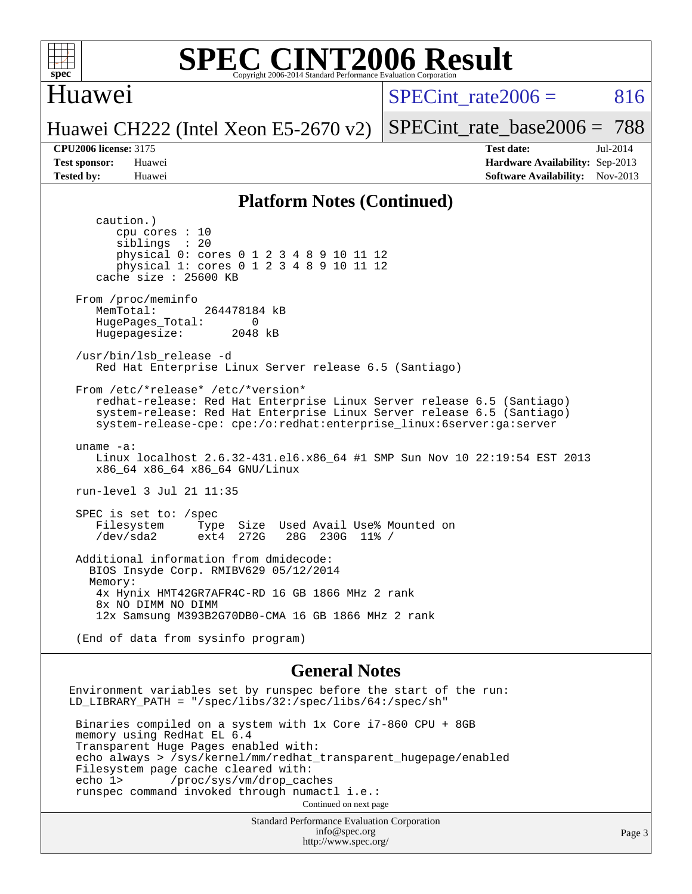

### Huawei

SPECint rate $2006 = 816$ 

Huawei CH222 (Intel Xeon E5-2670 v2)

[SPECint\\_rate\\_base2006 =](http://www.spec.org/auto/cpu2006/Docs/result-fields.html#SPECintratebase2006) 788

**[CPU2006 license:](http://www.spec.org/auto/cpu2006/Docs/result-fields.html#CPU2006license)** 3175 **[Test date:](http://www.spec.org/auto/cpu2006/Docs/result-fields.html#Testdate)** Jul-2014 **[Test sponsor:](http://www.spec.org/auto/cpu2006/Docs/result-fields.html#Testsponsor)** Huawei **[Hardware Availability:](http://www.spec.org/auto/cpu2006/Docs/result-fields.html#HardwareAvailability)** Sep-2013 **[Tested by:](http://www.spec.org/auto/cpu2006/Docs/result-fields.html#Testedby)** Huawei **[Software Availability:](http://www.spec.org/auto/cpu2006/Docs/result-fields.html#SoftwareAvailability)** Nov-2013

#### **[Platform Notes \(Continued\)](http://www.spec.org/auto/cpu2006/Docs/result-fields.html#PlatformNotes)**

 caution.) cpu cores : 10 siblings : 20 physical 0: cores 0 1 2 3 4 8 9 10 11 12 physical 1: cores 0 1 2 3 4 8 9 10 11 12 cache size : 25600 KB From /proc/meminfo MemTotal: 264478184 kB HugePages\_Total: 0<br>Hugepagesize: 2048 kB Hugepagesize: /usr/bin/lsb\_release -d Red Hat Enterprise Linux Server release 6.5 (Santiago) From /etc/\*release\* /etc/\*version\* redhat-release: Red Hat Enterprise Linux Server release 6.5 (Santiago) system-release: Red Hat Enterprise Linux Server release 6.5 (Santiago) system-release-cpe: cpe:/o:redhat:enterprise\_linux:6server:ga:server uname -a: Linux localhost 2.6.32-431.el6.x86\_64 #1 SMP Sun Nov 10 22:19:54 EST 2013 x86\_64 x86\_64 x86\_64 GNU/Linux run-level 3 Jul 21 11:35 SPEC is set to: /spec<br>Filesystem Type Filesystem Type Size Used Avail Use% Mounted on<br>
/dev/sda2 ext4 272G 28G 230G 11% / 28G 230G 11% / Additional information from dmidecode: BIOS Insyde Corp. RMIBV629 05/12/2014 Memory: 4x Hynix HMT42GR7AFR4C-RD 16 GB 1866 MHz 2 rank 8x NO DIMM NO DIMM 12x Samsung M393B2G70DB0-CMA 16 GB 1866 MHz 2 rank (End of data from sysinfo program) **[General Notes](http://www.spec.org/auto/cpu2006/Docs/result-fields.html#GeneralNotes)** Environment variables set by runspec before the start of the run: LD\_LIBRARY\_PATH = "/spec/libs/32:/spec/libs/64:/spec/sh" Binaries compiled on a system with 1x Core i7-860 CPU + 8GB memory using RedHat EL 6.4 Transparent Huge Pages enabled with: echo always > /sys/kernel/mm/redhat\_transparent\_hugepage/enabled Filesystem page cache cleared with:<br>echo 1> /proc/sys/vm/drop cac /proc/sys/vm/drop\_caches runspec command invoked through numactl i.e.: Continued on next page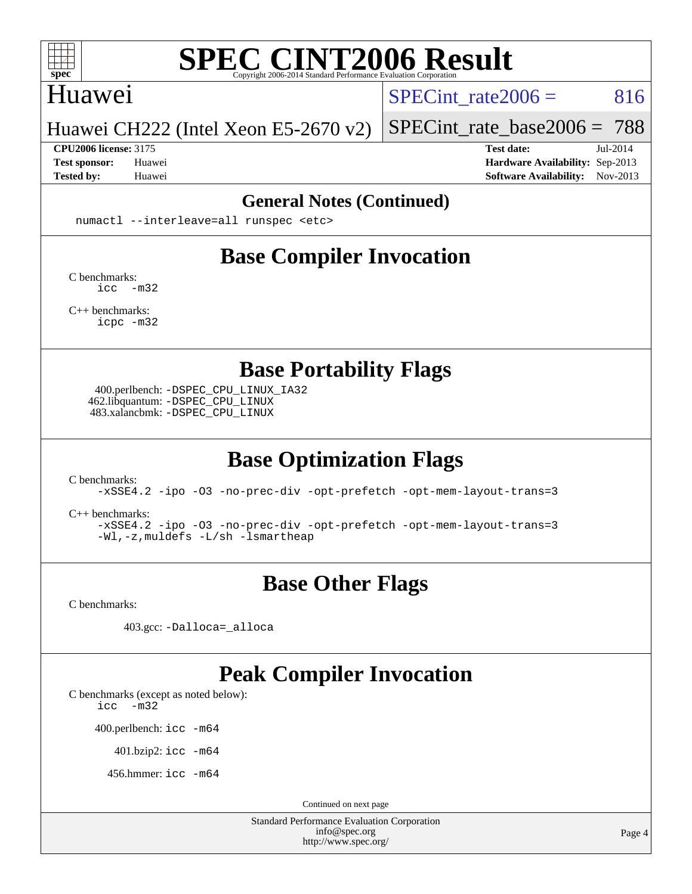

### Huawei

SPECint rate $2006 = 816$ 

#### Huawei CH222 (Intel Xeon E5-2670 v2)

#### **[CPU2006 license:](http://www.spec.org/auto/cpu2006/Docs/result-fields.html#CPU2006license)** 3175 **[Test date:](http://www.spec.org/auto/cpu2006/Docs/result-fields.html#Testdate)** Jul-2014

[SPECint\\_rate\\_base2006 =](http://www.spec.org/auto/cpu2006/Docs/result-fields.html#SPECintratebase2006) 788

**[Test sponsor:](http://www.spec.org/auto/cpu2006/Docs/result-fields.html#Testsponsor)** Huawei **[Hardware Availability:](http://www.spec.org/auto/cpu2006/Docs/result-fields.html#HardwareAvailability)** Sep-2013 **[Tested by:](http://www.spec.org/auto/cpu2006/Docs/result-fields.html#Testedby)** Huawei **[Software Availability:](http://www.spec.org/auto/cpu2006/Docs/result-fields.html#SoftwareAvailability)** Nov-2013

#### **[General Notes \(Continued\)](http://www.spec.org/auto/cpu2006/Docs/result-fields.html#GeneralNotes)**

numactl --interleave=all runspec <etc>

# **[Base Compiler Invocation](http://www.spec.org/auto/cpu2006/Docs/result-fields.html#BaseCompilerInvocation)**

[C benchmarks](http://www.spec.org/auto/cpu2006/Docs/result-fields.html#Cbenchmarks): [icc -m32](http://www.spec.org/cpu2006/results/res2014q3/cpu2006-20140725-30566.flags.html#user_CCbase_intel_icc_5ff4a39e364c98233615fdd38438c6f2)

[C++ benchmarks:](http://www.spec.org/auto/cpu2006/Docs/result-fields.html#CXXbenchmarks) [icpc -m32](http://www.spec.org/cpu2006/results/res2014q3/cpu2006-20140725-30566.flags.html#user_CXXbase_intel_icpc_4e5a5ef1a53fd332b3c49e69c3330699)

**[Base Portability Flags](http://www.spec.org/auto/cpu2006/Docs/result-fields.html#BasePortabilityFlags)**

 400.perlbench: [-DSPEC\\_CPU\\_LINUX\\_IA32](http://www.spec.org/cpu2006/results/res2014q3/cpu2006-20140725-30566.flags.html#b400.perlbench_baseCPORTABILITY_DSPEC_CPU_LINUX_IA32) 462.libquantum: [-DSPEC\\_CPU\\_LINUX](http://www.spec.org/cpu2006/results/res2014q3/cpu2006-20140725-30566.flags.html#b462.libquantum_baseCPORTABILITY_DSPEC_CPU_LINUX) 483.xalancbmk: [-DSPEC\\_CPU\\_LINUX](http://www.spec.org/cpu2006/results/res2014q3/cpu2006-20140725-30566.flags.html#b483.xalancbmk_baseCXXPORTABILITY_DSPEC_CPU_LINUX)

# **[Base Optimization Flags](http://www.spec.org/auto/cpu2006/Docs/result-fields.html#BaseOptimizationFlags)**

[C benchmarks](http://www.spec.org/auto/cpu2006/Docs/result-fields.html#Cbenchmarks):

[-xSSE4.2](http://www.spec.org/cpu2006/results/res2014q3/cpu2006-20140725-30566.flags.html#user_CCbase_f-xSSE42_f91528193cf0b216347adb8b939d4107) [-ipo](http://www.spec.org/cpu2006/results/res2014q3/cpu2006-20140725-30566.flags.html#user_CCbase_f-ipo) [-O3](http://www.spec.org/cpu2006/results/res2014q3/cpu2006-20140725-30566.flags.html#user_CCbase_f-O3) [-no-prec-div](http://www.spec.org/cpu2006/results/res2014q3/cpu2006-20140725-30566.flags.html#user_CCbase_f-no-prec-div) [-opt-prefetch](http://www.spec.org/cpu2006/results/res2014q3/cpu2006-20140725-30566.flags.html#user_CCbase_f-opt-prefetch) [-opt-mem-layout-trans=3](http://www.spec.org/cpu2006/results/res2014q3/cpu2006-20140725-30566.flags.html#user_CCbase_f-opt-mem-layout-trans_a7b82ad4bd7abf52556d4961a2ae94d5)

[C++ benchmarks:](http://www.spec.org/auto/cpu2006/Docs/result-fields.html#CXXbenchmarks)

[-xSSE4.2](http://www.spec.org/cpu2006/results/res2014q3/cpu2006-20140725-30566.flags.html#user_CXXbase_f-xSSE42_f91528193cf0b216347adb8b939d4107) [-ipo](http://www.spec.org/cpu2006/results/res2014q3/cpu2006-20140725-30566.flags.html#user_CXXbase_f-ipo) [-O3](http://www.spec.org/cpu2006/results/res2014q3/cpu2006-20140725-30566.flags.html#user_CXXbase_f-O3) [-no-prec-div](http://www.spec.org/cpu2006/results/res2014q3/cpu2006-20140725-30566.flags.html#user_CXXbase_f-no-prec-div) [-opt-prefetch](http://www.spec.org/cpu2006/results/res2014q3/cpu2006-20140725-30566.flags.html#user_CXXbase_f-opt-prefetch) [-opt-mem-layout-trans=3](http://www.spec.org/cpu2006/results/res2014q3/cpu2006-20140725-30566.flags.html#user_CXXbase_f-opt-mem-layout-trans_a7b82ad4bd7abf52556d4961a2ae94d5) [-Wl,-z,muldefs](http://www.spec.org/cpu2006/results/res2014q3/cpu2006-20140725-30566.flags.html#user_CXXbase_link_force_multiple1_74079c344b956b9658436fd1b6dd3a8a) [-L/sh -lsmartheap](http://www.spec.org/cpu2006/results/res2014q3/cpu2006-20140725-30566.flags.html#user_CXXbase_SmartHeap_32f6c82aa1ed9c52345d30cf6e4a0499)

# **[Base Other Flags](http://www.spec.org/auto/cpu2006/Docs/result-fields.html#BaseOtherFlags)**

[C benchmarks](http://www.spec.org/auto/cpu2006/Docs/result-fields.html#Cbenchmarks):

403.gcc: [-Dalloca=\\_alloca](http://www.spec.org/cpu2006/results/res2014q3/cpu2006-20140725-30566.flags.html#b403.gcc_baseEXTRA_CFLAGS_Dalloca_be3056838c12de2578596ca5467af7f3)

# **[Peak Compiler Invocation](http://www.spec.org/auto/cpu2006/Docs/result-fields.html#PeakCompilerInvocation)**

[C benchmarks \(except as noted below\)](http://www.spec.org/auto/cpu2006/Docs/result-fields.html#Cbenchmarksexceptasnotedbelow):

[icc -m32](http://www.spec.org/cpu2006/results/res2014q3/cpu2006-20140725-30566.flags.html#user_CCpeak_intel_icc_5ff4a39e364c98233615fdd38438c6f2)

400.perlbench: [icc -m64](http://www.spec.org/cpu2006/results/res2014q3/cpu2006-20140725-30566.flags.html#user_peakCCLD400_perlbench_intel_icc_64bit_bda6cc9af1fdbb0edc3795bac97ada53)

401.bzip2: [icc -m64](http://www.spec.org/cpu2006/results/res2014q3/cpu2006-20140725-30566.flags.html#user_peakCCLD401_bzip2_intel_icc_64bit_bda6cc9af1fdbb0edc3795bac97ada53)

456.hmmer: [icc -m64](http://www.spec.org/cpu2006/results/res2014q3/cpu2006-20140725-30566.flags.html#user_peakCCLD456_hmmer_intel_icc_64bit_bda6cc9af1fdbb0edc3795bac97ada53)

Continued on next page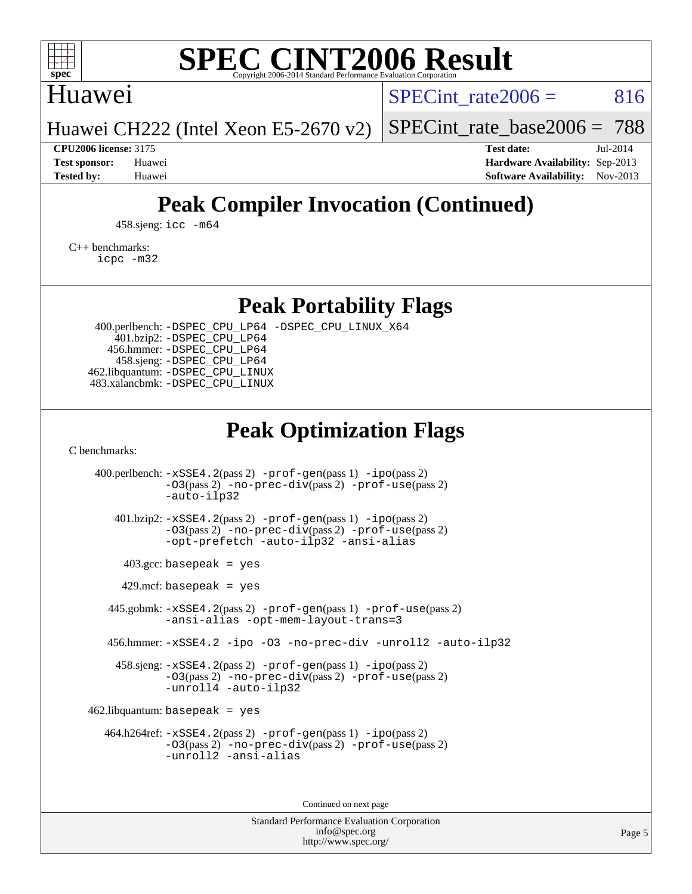

## Huawei

SPECint rate $2006 = 816$ 

[SPECint\\_rate\\_base2006 =](http://www.spec.org/auto/cpu2006/Docs/result-fields.html#SPECintratebase2006) 788

Huawei CH222 (Intel Xeon E5-2670 v2)

**[CPU2006 license:](http://www.spec.org/auto/cpu2006/Docs/result-fields.html#CPU2006license)** 3175 **[Test date:](http://www.spec.org/auto/cpu2006/Docs/result-fields.html#Testdate)** Jul-2014 **[Test sponsor:](http://www.spec.org/auto/cpu2006/Docs/result-fields.html#Testsponsor)** Huawei **[Hardware Availability:](http://www.spec.org/auto/cpu2006/Docs/result-fields.html#HardwareAvailability)** Sep-2013 **[Tested by:](http://www.spec.org/auto/cpu2006/Docs/result-fields.html#Testedby)** Huawei **[Software Availability:](http://www.spec.org/auto/cpu2006/Docs/result-fields.html#SoftwareAvailability)** Nov-2013

# **[Peak Compiler Invocation \(Continued\)](http://www.spec.org/auto/cpu2006/Docs/result-fields.html#PeakCompilerInvocation)**

458.sjeng: [icc -m64](http://www.spec.org/cpu2006/results/res2014q3/cpu2006-20140725-30566.flags.html#user_peakCCLD458_sjeng_intel_icc_64bit_bda6cc9af1fdbb0edc3795bac97ada53)

[C++ benchmarks:](http://www.spec.org/auto/cpu2006/Docs/result-fields.html#CXXbenchmarks) [icpc -m32](http://www.spec.org/cpu2006/results/res2014q3/cpu2006-20140725-30566.flags.html#user_CXXpeak_intel_icpc_4e5a5ef1a53fd332b3c49e69c3330699)

**[Peak Portability Flags](http://www.spec.org/auto/cpu2006/Docs/result-fields.html#PeakPortabilityFlags)**

 400.perlbench: [-DSPEC\\_CPU\\_LP64](http://www.spec.org/cpu2006/results/res2014q3/cpu2006-20140725-30566.flags.html#b400.perlbench_peakCPORTABILITY_DSPEC_CPU_LP64) [-DSPEC\\_CPU\\_LINUX\\_X64](http://www.spec.org/cpu2006/results/res2014q3/cpu2006-20140725-30566.flags.html#b400.perlbench_peakCPORTABILITY_DSPEC_CPU_LINUX_X64) 401.bzip2: [-DSPEC\\_CPU\\_LP64](http://www.spec.org/cpu2006/results/res2014q3/cpu2006-20140725-30566.flags.html#suite_peakCPORTABILITY401_bzip2_DSPEC_CPU_LP64) 456.hmmer: [-DSPEC\\_CPU\\_LP64](http://www.spec.org/cpu2006/results/res2014q3/cpu2006-20140725-30566.flags.html#suite_peakCPORTABILITY456_hmmer_DSPEC_CPU_LP64) 458.sjeng: [-DSPEC\\_CPU\\_LP64](http://www.spec.org/cpu2006/results/res2014q3/cpu2006-20140725-30566.flags.html#suite_peakCPORTABILITY458_sjeng_DSPEC_CPU_LP64) 462.libquantum: [-DSPEC\\_CPU\\_LINUX](http://www.spec.org/cpu2006/results/res2014q3/cpu2006-20140725-30566.flags.html#b462.libquantum_peakCPORTABILITY_DSPEC_CPU_LINUX) 483.xalancbmk: [-DSPEC\\_CPU\\_LINUX](http://www.spec.org/cpu2006/results/res2014q3/cpu2006-20140725-30566.flags.html#b483.xalancbmk_peakCXXPORTABILITY_DSPEC_CPU_LINUX)

# **[Peak Optimization Flags](http://www.spec.org/auto/cpu2006/Docs/result-fields.html#PeakOptimizationFlags)**

[C benchmarks](http://www.spec.org/auto/cpu2006/Docs/result-fields.html#Cbenchmarks):

 400.perlbench: [-xSSE4.2](http://www.spec.org/cpu2006/results/res2014q3/cpu2006-20140725-30566.flags.html#user_peakPASS2_CFLAGSPASS2_LDCFLAGS400_perlbench_f-xSSE42_f91528193cf0b216347adb8b939d4107)(pass 2) [-prof-gen](http://www.spec.org/cpu2006/results/res2014q3/cpu2006-20140725-30566.flags.html#user_peakPASS1_CFLAGSPASS1_LDCFLAGS400_perlbench_prof_gen_e43856698f6ca7b7e442dfd80e94a8fc)(pass 1) [-ipo](http://www.spec.org/cpu2006/results/res2014q3/cpu2006-20140725-30566.flags.html#user_peakPASS2_CFLAGSPASS2_LDCFLAGS400_perlbench_f-ipo)(pass 2) [-O3](http://www.spec.org/cpu2006/results/res2014q3/cpu2006-20140725-30566.flags.html#user_peakPASS2_CFLAGSPASS2_LDCFLAGS400_perlbench_f-O3)(pass 2) [-no-prec-div](http://www.spec.org/cpu2006/results/res2014q3/cpu2006-20140725-30566.flags.html#user_peakPASS2_CFLAGSPASS2_LDCFLAGS400_perlbench_f-no-prec-div)(pass 2) [-prof-use](http://www.spec.org/cpu2006/results/res2014q3/cpu2006-20140725-30566.flags.html#user_peakPASS2_CFLAGSPASS2_LDCFLAGS400_perlbench_prof_use_bccf7792157ff70d64e32fe3e1250b55)(pass 2) [-auto-ilp32](http://www.spec.org/cpu2006/results/res2014q3/cpu2006-20140725-30566.flags.html#user_peakCOPTIMIZE400_perlbench_f-auto-ilp32) 401.bzip2: [-xSSE4.2](http://www.spec.org/cpu2006/results/res2014q3/cpu2006-20140725-30566.flags.html#user_peakPASS2_CFLAGSPASS2_LDCFLAGS401_bzip2_f-xSSE42_f91528193cf0b216347adb8b939d4107)(pass 2) [-prof-gen](http://www.spec.org/cpu2006/results/res2014q3/cpu2006-20140725-30566.flags.html#user_peakPASS1_CFLAGSPASS1_LDCFLAGS401_bzip2_prof_gen_e43856698f6ca7b7e442dfd80e94a8fc)(pass 1) [-ipo](http://www.spec.org/cpu2006/results/res2014q3/cpu2006-20140725-30566.flags.html#user_peakPASS2_CFLAGSPASS2_LDCFLAGS401_bzip2_f-ipo)(pass 2) [-O3](http://www.spec.org/cpu2006/results/res2014q3/cpu2006-20140725-30566.flags.html#user_peakPASS2_CFLAGSPASS2_LDCFLAGS401_bzip2_f-O3)(pass 2) [-no-prec-div](http://www.spec.org/cpu2006/results/res2014q3/cpu2006-20140725-30566.flags.html#user_peakPASS2_CFLAGSPASS2_LDCFLAGS401_bzip2_f-no-prec-div)(pass 2) [-prof-use](http://www.spec.org/cpu2006/results/res2014q3/cpu2006-20140725-30566.flags.html#user_peakPASS2_CFLAGSPASS2_LDCFLAGS401_bzip2_prof_use_bccf7792157ff70d64e32fe3e1250b55)(pass 2) [-opt-prefetch](http://www.spec.org/cpu2006/results/res2014q3/cpu2006-20140725-30566.flags.html#user_peakCOPTIMIZE401_bzip2_f-opt-prefetch) [-auto-ilp32](http://www.spec.org/cpu2006/results/res2014q3/cpu2006-20140725-30566.flags.html#user_peakCOPTIMIZE401_bzip2_f-auto-ilp32) [-ansi-alias](http://www.spec.org/cpu2006/results/res2014q3/cpu2006-20140725-30566.flags.html#user_peakCOPTIMIZE401_bzip2_f-ansi-alias)  $403.\text{gcc: basepeak}$  = yes  $429$ .mcf: basepeak = yes 445.gobmk: [-xSSE4.2](http://www.spec.org/cpu2006/results/res2014q3/cpu2006-20140725-30566.flags.html#user_peakPASS2_CFLAGSPASS2_LDCFLAGS445_gobmk_f-xSSE42_f91528193cf0b216347adb8b939d4107)(pass 2) [-prof-gen](http://www.spec.org/cpu2006/results/res2014q3/cpu2006-20140725-30566.flags.html#user_peakPASS1_CFLAGSPASS1_LDCFLAGS445_gobmk_prof_gen_e43856698f6ca7b7e442dfd80e94a8fc)(pass 1) [-prof-use](http://www.spec.org/cpu2006/results/res2014q3/cpu2006-20140725-30566.flags.html#user_peakPASS2_CFLAGSPASS2_LDCFLAGS445_gobmk_prof_use_bccf7792157ff70d64e32fe3e1250b55)(pass 2) [-ansi-alias](http://www.spec.org/cpu2006/results/res2014q3/cpu2006-20140725-30566.flags.html#user_peakCOPTIMIZE445_gobmk_f-ansi-alias) [-opt-mem-layout-trans=3](http://www.spec.org/cpu2006/results/res2014q3/cpu2006-20140725-30566.flags.html#user_peakCOPTIMIZE445_gobmk_f-opt-mem-layout-trans_a7b82ad4bd7abf52556d4961a2ae94d5) 456.hmmer: [-xSSE4.2](http://www.spec.org/cpu2006/results/res2014q3/cpu2006-20140725-30566.flags.html#user_peakCOPTIMIZE456_hmmer_f-xSSE42_f91528193cf0b216347adb8b939d4107) [-ipo](http://www.spec.org/cpu2006/results/res2014q3/cpu2006-20140725-30566.flags.html#user_peakCOPTIMIZE456_hmmer_f-ipo) [-O3](http://www.spec.org/cpu2006/results/res2014q3/cpu2006-20140725-30566.flags.html#user_peakCOPTIMIZE456_hmmer_f-O3) [-no-prec-div](http://www.spec.org/cpu2006/results/res2014q3/cpu2006-20140725-30566.flags.html#user_peakCOPTIMIZE456_hmmer_f-no-prec-div) [-unroll2](http://www.spec.org/cpu2006/results/res2014q3/cpu2006-20140725-30566.flags.html#user_peakCOPTIMIZE456_hmmer_f-unroll_784dae83bebfb236979b41d2422d7ec2) [-auto-ilp32](http://www.spec.org/cpu2006/results/res2014q3/cpu2006-20140725-30566.flags.html#user_peakCOPTIMIZE456_hmmer_f-auto-ilp32) 458.sjeng: [-xSSE4.2](http://www.spec.org/cpu2006/results/res2014q3/cpu2006-20140725-30566.flags.html#user_peakPASS2_CFLAGSPASS2_LDCFLAGS458_sjeng_f-xSSE42_f91528193cf0b216347adb8b939d4107)(pass 2) [-prof-gen](http://www.spec.org/cpu2006/results/res2014q3/cpu2006-20140725-30566.flags.html#user_peakPASS1_CFLAGSPASS1_LDCFLAGS458_sjeng_prof_gen_e43856698f6ca7b7e442dfd80e94a8fc)(pass 1) [-ipo](http://www.spec.org/cpu2006/results/res2014q3/cpu2006-20140725-30566.flags.html#user_peakPASS2_CFLAGSPASS2_LDCFLAGS458_sjeng_f-ipo)(pass 2) [-O3](http://www.spec.org/cpu2006/results/res2014q3/cpu2006-20140725-30566.flags.html#user_peakPASS2_CFLAGSPASS2_LDCFLAGS458_sjeng_f-O3)(pass 2) [-no-prec-div](http://www.spec.org/cpu2006/results/res2014q3/cpu2006-20140725-30566.flags.html#user_peakPASS2_CFLAGSPASS2_LDCFLAGS458_sjeng_f-no-prec-div)(pass 2) [-prof-use](http://www.spec.org/cpu2006/results/res2014q3/cpu2006-20140725-30566.flags.html#user_peakPASS2_CFLAGSPASS2_LDCFLAGS458_sjeng_prof_use_bccf7792157ff70d64e32fe3e1250b55)(pass 2) [-unroll4](http://www.spec.org/cpu2006/results/res2014q3/cpu2006-20140725-30566.flags.html#user_peakCOPTIMIZE458_sjeng_f-unroll_4e5e4ed65b7fd20bdcd365bec371b81f) [-auto-ilp32](http://www.spec.org/cpu2006/results/res2014q3/cpu2006-20140725-30566.flags.html#user_peakCOPTIMIZE458_sjeng_f-auto-ilp32)  $462$ .libquantum: basepeak = yes 464.h264ref: [-xSSE4.2](http://www.spec.org/cpu2006/results/res2014q3/cpu2006-20140725-30566.flags.html#user_peakPASS2_CFLAGSPASS2_LDCFLAGS464_h264ref_f-xSSE42_f91528193cf0b216347adb8b939d4107)(pass 2) [-prof-gen](http://www.spec.org/cpu2006/results/res2014q3/cpu2006-20140725-30566.flags.html#user_peakPASS1_CFLAGSPASS1_LDCFLAGS464_h264ref_prof_gen_e43856698f6ca7b7e442dfd80e94a8fc)(pass 1) [-ipo](http://www.spec.org/cpu2006/results/res2014q3/cpu2006-20140725-30566.flags.html#user_peakPASS2_CFLAGSPASS2_LDCFLAGS464_h264ref_f-ipo)(pass 2) [-O3](http://www.spec.org/cpu2006/results/res2014q3/cpu2006-20140725-30566.flags.html#user_peakPASS2_CFLAGSPASS2_LDCFLAGS464_h264ref_f-O3)(pass 2) [-no-prec-div](http://www.spec.org/cpu2006/results/res2014q3/cpu2006-20140725-30566.flags.html#user_peakPASS2_CFLAGSPASS2_LDCFLAGS464_h264ref_f-no-prec-div)(pass 2) [-prof-use](http://www.spec.org/cpu2006/results/res2014q3/cpu2006-20140725-30566.flags.html#user_peakPASS2_CFLAGSPASS2_LDCFLAGS464_h264ref_prof_use_bccf7792157ff70d64e32fe3e1250b55)(pass 2) [-unroll2](http://www.spec.org/cpu2006/results/res2014q3/cpu2006-20140725-30566.flags.html#user_peakCOPTIMIZE464_h264ref_f-unroll_784dae83bebfb236979b41d2422d7ec2) [-ansi-alias](http://www.spec.org/cpu2006/results/res2014q3/cpu2006-20140725-30566.flags.html#user_peakCOPTIMIZE464_h264ref_f-ansi-alias)

Continued on next page